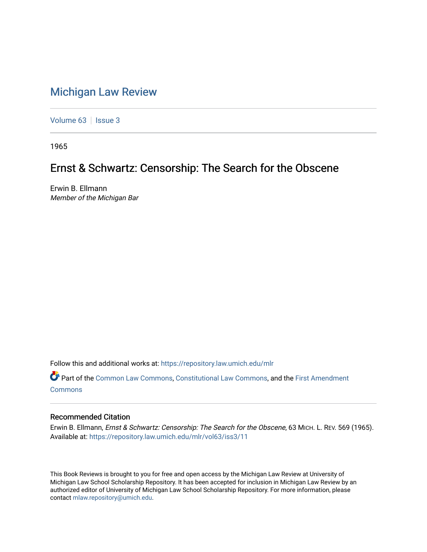# [Michigan Law Review](https://repository.law.umich.edu/mlr)

[Volume 63](https://repository.law.umich.edu/mlr/vol63) | [Issue 3](https://repository.law.umich.edu/mlr/vol63/iss3)

1965

# Ernst & Schwartz: Censorship: The Search for the Obscene

Erwin B. Ellmann Member of the Michigan Bar

Follow this and additional works at: [https://repository.law.umich.edu/mlr](https://repository.law.umich.edu/mlr?utm_source=repository.law.umich.edu%2Fmlr%2Fvol63%2Fiss3%2F11&utm_medium=PDF&utm_campaign=PDFCoverPages) 

Part of the [Common Law Commons,](http://network.bepress.com/hgg/discipline/1120?utm_source=repository.law.umich.edu%2Fmlr%2Fvol63%2Fiss3%2F11&utm_medium=PDF&utm_campaign=PDFCoverPages) [Constitutional Law Commons,](http://network.bepress.com/hgg/discipline/589?utm_source=repository.law.umich.edu%2Fmlr%2Fvol63%2Fiss3%2F11&utm_medium=PDF&utm_campaign=PDFCoverPages) and the [First Amendment](http://network.bepress.com/hgg/discipline/1115?utm_source=repository.law.umich.edu%2Fmlr%2Fvol63%2Fiss3%2F11&utm_medium=PDF&utm_campaign=PDFCoverPages) [Commons](http://network.bepress.com/hgg/discipline/1115?utm_source=repository.law.umich.edu%2Fmlr%2Fvol63%2Fiss3%2F11&utm_medium=PDF&utm_campaign=PDFCoverPages)

### Recommended Citation

Erwin B. Ellmann, Ernst & Schwartz: Censorship: The Search for the Obscene, 63 MICH. L. REV. 569 (1965). Available at: [https://repository.law.umich.edu/mlr/vol63/iss3/11](https://repository.law.umich.edu/mlr/vol63/iss3/11?utm_source=repository.law.umich.edu%2Fmlr%2Fvol63%2Fiss3%2F11&utm_medium=PDF&utm_campaign=PDFCoverPages) 

This Book Reviews is brought to you for free and open access by the Michigan Law Review at University of Michigan Law School Scholarship Repository. It has been accepted for inclusion in Michigan Law Review by an authorized editor of University of Michigan Law School Scholarship Repository. For more information, please contact [mlaw.repository@umich.edu](mailto:mlaw.repository@umich.edu).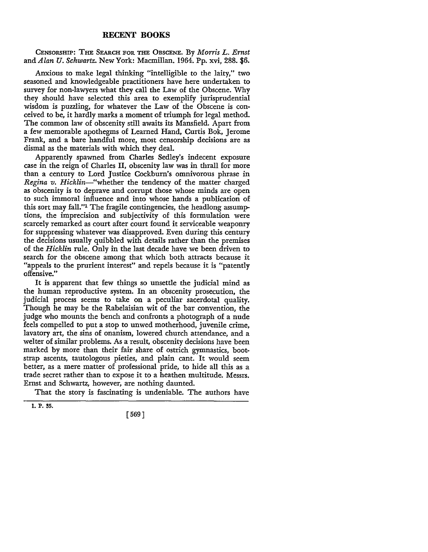### **RECENT BOOKS**

#### CENSORSHIP: THE SEARCH FOR THE OBSCENE. By *Morris L. Ernst*  and *Alan U. Schwartz.* New York: Macmillan. 1964. Pp. xvi, 288. \$6.

Anxious to make legal thinking "intelligible to the laity," two seasoned and knowledgeable practitioners have here undertaken to survey for non-lawyers what they call the Law of the Obscene. Why they should have selected this area to exemplify jurisprudential wisdom is puzzling, for whatever the Law of the Obscene is conceived to be, it hardly marks a moment of triumph for legal method. The common law of obscenity still awaits its Mansfield. Apart from a few memorable apothegms of Learned Hand, Curtis Bok, Jerome Frank, and a bare handful more, most censorship decisions are as dismal as the materials with which they deal.

Apparently spawned from Charles Sedley's indecent exposure case in the reign of Charles II, obscenity law was in thrall for more than a century to Lord Justice Cockburn's omnivorous phrase in *Regina v. Hicklin-"whether* the tendency of the matter charged as obscenity is to deprave and corrupt those whose minds are open to such immoral influence and into whose hands a publication of this sort may fall."1 The fragile contingencies, the headlong assumptions, the imprecision and subjectivity of this formulation were scarcely remarked as court after court found it serviceable weaponry for suppressing whatever was disapproved. Even during this century the decisions usually quibbled with details rather than the premises of the *Hicklin* rule. Only in the last decade have we been driven to search for the obscene among that which both attracts because it "appeals to the prurient interest" and repels because it is "patently offensive."

It is apparent that few things so unsettle the judicial mind as the human reproductive system. In an obscenity prosecution, the judicial process seems to take on a peculiar sacerdotal quality. Though he may be the Rabelaisian wit of the bar convention, the judge who mounts the bench and confronts a photograph of a nude feels compelled to put a stop to unwed motherhood, juvenile crime, lavatory art, the sins of onanism, lowered church attendance, and a welter of similar problems. As a result, obscenity decisions have been marked by more than their fair share of ostrich gymnastics, bootstrap ascents, tautologous pieties, and plain cant. It would seem better, as a mere matter of professional pride, to hide all this as a trade secret rather than to expose it to a heathen multitude. Messrs. Ernst and Schwartz, however, are nothing daunted.

That the story is fascinating is undeniable. The authors have

**1. P. 35.** 

[ 569]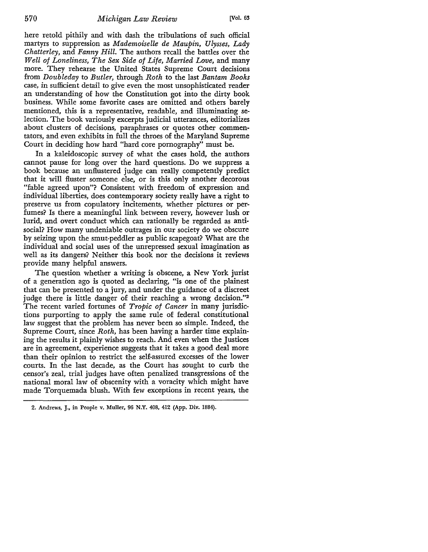here retold pithily and with dash the tribulations of such official martyrs to suppression as *Mademoiselle de Maupin, Ulysses, Lady Chatterley,* and *Fanny Hill.* The authors recall the battles over the *Well of Loneliness, The Sex Side of Life, Married Love,* and many more. They rehearse the United States Supreme Court decisions from *Doubleday* to *Butler,* through *Roth* to the last *Bantam Books*  case, in sufficient detail to give even the most unsophisticated reader an understanding of how the Constitution got into the dirty book business. While some favorite cases are omitted and others barely mentioned, this is a representative, readable, and illuminating selection. The book variously excerpts judicial utterances, editorializes about clusters of decisions, paraphrases or quotes other commentators, and even exhibits in full the throes of the Maryland Supreme Court in deciding how hard "hard core pornography" must be.

In a kaleidoscopic survey of what the cases hold, the authors cannot pause for long over the hard questions. Do we suppress a book because an unflustered judge can really competently predict that it will fluster someone else, or is this only another decorous "fable agreed upon"? Consistent with freedom of expression and individual liberties, does contemporary society really have a right to preserve us from copulatory incitements, whether pictures or perfumes? Is there a meaningful link between revery, however lush or lurid, and overt conduct which can rationally be regarded as antisocial? How many undeniable outrages in our society do we obscure by seizing upon the smut-peddler as public scapegoat? What are the individual and social uses of the unrepressed sexual imagination as well as its dangers? Neither this book nor the decisions it reviews provide many helpful answers.

The question whether a writing is obscene, a New York jurist of a generation ago is quoted as declaring, "is one of the plainest that can be presented to a jury, and under the guidance of a discreet judge there is little danger of their reaching a wrong decision."<sup>2</sup> The recent varied fortunes of *Tropic of Cancer* in many jurisdictions purporting to apply the same rule of federal constitutional law suggest that the problem has never been so simple. Indeed, the Supreme Court, since *Roth,* has been having a harder time explaining the results it plainly wishes to reach. And even when the Justices are in agreement, experience suggests that it takes a good deal more than their opinion to restrict the self-assured excesses of the lower courts. In the last decade, as the Court has sought to curb the censor's zeal, trial judges have often penalized transgressions of the national moral law of obscenity with a voracity which might **have**  made Torquemada blush. With few exceptions in recent years, the

<sup>2.</sup> Andrews, J., in People v. Muller, 96 **N.Y.** 408, 412 (App. Div. 1884).